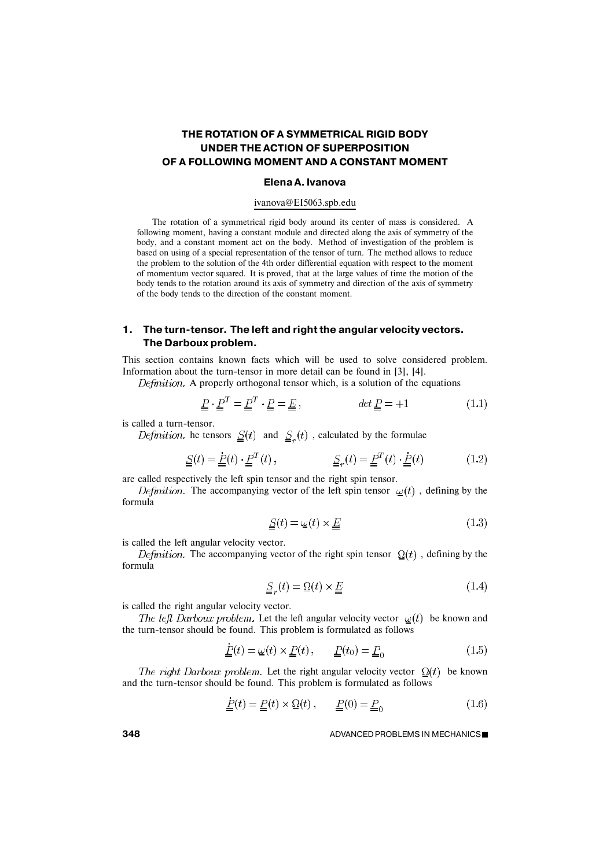# **THE ROTATION OF A SYMMETRICAL RIGID BODY UNDER THE ACTION OF SUPERPOSITION OF A FOLLOWING MOMENT AND A CONSTANT MOMENT**

#### **Elena A. Ivanova**

#### ivanova@EI5063.spb.edu

The rotation of a symmetrical rigid body around its center of mass is considered. A following moment, having a constant module and directed along the axis of symmetry of the body, and a constant moment act on the body. Method of investigation of the problem is based on using of a special representation of the tensor of turn. The method allows to reduce the problem to the solution of the 4th order differential equation with respect to the moment of momentum vector squared. It is proved, that at the large values of time the motion of the body tends to the rotation around its axis of symmetry and direction of the axis of symmetry of the body tends to the direction of the constant moment.

## **1. The turn-tensor. The left and right the angular velocity vectors. The Darboux problem.**

This section contains known facts which will be used to solve considered problem. Information about the turn-tensor in more detail can be found in [3], [4].

Definition. A properly orthogonal tensor which, is a solution of the equations

$$
\underline{\underline{P}} \cdot \underline{\underline{P}}^T = \underline{\underline{P}}^T \cdot \underline{\underline{P}} = \underline{\underline{E}} \,, \qquad \qquad \det \underline{\underline{P}} = +1 \tag{1.1}
$$

is called a turn-tensor.

*Definition*. he tensors  $\underline{S}(t)$  and  $\underline{S}_r(t)$ , calculated by the formulae

$$
\underline{S}(t) = \underline{P}(t) \cdot \underline{P}^T(t), \qquad \underline{S}_r(t) = \underline{P}^T(t) \cdot \underline{P}(t) \qquad (1.2)
$$

are called respectively the left spin tensor and the right spin tensor.

*Definition.* The accompanying vector of the left spin tensor  $\omega(t)$ , defining by the formula

$$
\underline{S}(t) = \underline{\omega}(t) \times \underline{E} \tag{1.3}
$$

is called the left angular velocity vector.

*Definition*. The accompanying vector of the right spin tensor  $\Omega(t)$ , defining by the formula

$$
\underline{\underline{S}}_r(t) = \underline{\Omega}(t) \times \underline{\underline{E}} \tag{1.4}
$$

is called the right angular velocity vector.

The left Darboux problem. Let the left angular velocity vector  $\omega(t)$  be known and the turn-tensor should be found. This problem is formulated as follows

$$
\underline{\underline{P}}(t) = \underline{\omega}(t) \times \underline{\underline{P}}(t), \qquad \underline{\underline{P}}(t_0) = \underline{\underline{P}}_0 \tag{1.5}
$$

The right Darboux problem. Let the right angular velocity vector  $\Omega(t)$  be known and the turn-tensor should be found. This problem is formulated as follows

$$
\underline{P}(t) = \underline{P}(t) \times \Omega(t), \qquad \underline{P}(0) = \underline{P}_0 \tag{1.6}
$$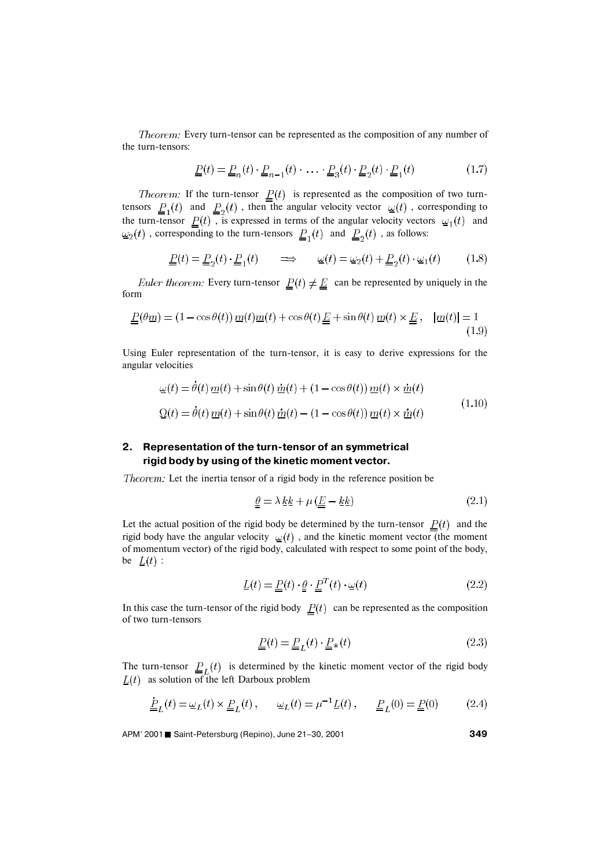Theorem: Every turn-tensor can be represented as the composition of any number of the turn-tensors:

$$
\underline{P}(t) = \underline{P}_n(t) \cdot \underline{P}_{n-1}(t) \cdot \ldots \cdot \underline{P}_3(t) \cdot \underline{P}_2(t) \cdot \underline{P}_1(t)
$$
\n(1.7)

*Theorem:* If the turn-tensor  $P(t)$  is represented as the composition of two turntensors  $P_{1}(t)$  and  $P_{2}(t)$ , then the angular velocity vector  $Q(t)$ , corresponding to the turn-tensor  $P(t)$ , is expressed in terms of the angular velocity vectors  $Q_1(t)$  and , corresponding to the turn-tensors  $P_1(t)$  and  $P_2(t)$ , as follows:

$$
\underline{\underline{P}}(t) = \underline{\underline{P}}_2(t) \cdot \underline{\underline{P}}_1(t) \qquad \Longrightarrow \qquad \underline{\omega}(t) = \underline{\omega}_2(t) + \underline{\underline{P}}_2(t) \cdot \underline{\omega}_1(t) \tag{1.8}
$$

*Euler theorem:* Every turn-tensor  $\underline{P}(t) \neq \underline{E}$  can be represented by uniquely in the form

$$
\underline{P}(\theta \underline{m}) = (1 - \cos \theta(t)) \underline{m}(t) \underline{m}(t) + \cos \theta(t) \underline{E} + \sin \theta(t) \underline{m}(t) \times \underline{E}, \quad |\underline{m}(t)| = 1
$$
\n(1.9)

Using Euler representation of the turn-tensor, it is easy to derive expressions for the angular velocities

$$
\underline{\omega}(t) = \dot{\theta}(t) \underline{m}(t) + \sin \theta(t) \underline{m}(t) + (1 - \cos \theta(t)) \underline{m}(t) \times \underline{m}(t)
$$
  

$$
\underline{\Omega}(t) = \dot{\theta}(t) \underline{m}(t) + \sin \theta(t) \underline{m}(t) - (1 - \cos \theta(t)) \underline{m}(t) \times \underline{m}(t)
$$
 (1.10)

## **2. Representation of the turn-tensor of an symmetrical rigid body by using of the kinetic moment vector.**

Theorem: Let the inertia tensor of a rigid body in the reference position be

$$
\underline{\theta} = \lambda \underline{k} \underline{k} + \mu \left( \underline{E} - \underline{k} \underline{k} \right) \tag{2.1}
$$

Let the actual position of the rigid body be determined by the turn-tensor  $P(t)$  and the rigid body have the angular velocity  $\mathcal{Q}(t)$ , and the kinetic moment vector (the moment of momentum vector) of the rigid body, calculated with respect to some point of the body, be  $L(t)$ :

$$
\underline{L}(t) = \underline{P}(t) \cdot \underline{\theta} \cdot \underline{P}^{T}(t) \cdot \underline{\omega}(t)
$$
\n(2.2)

In this case the turn-tensor of the rigid body  $P(t)$  can be represented as the composition of two turn-tensors

$$
\underline{P}(t) = \underline{P}_L(t) \cdot \underline{P}_*(t)
$$
\n(2.3)

The turn-tensor  $\underline{P}_L(t)$  is determined by the kinetic moment vector of the rigid body  $L(t)$  as solution of the left Darboux problem

$$
\underline{\dot{P}}_L(t) = \underline{\omega}_L(t) \times \underline{P}_L(t), \qquad \underline{\omega}_L(t) = \mu^{-1} \underline{L}(t), \qquad \underline{P}_L(0) = \underline{P}(0) \tag{2.4}
$$

APM' 2001 Saint-Petersburg (Repino), June 21–30, 2001 **<sup>349</sup>**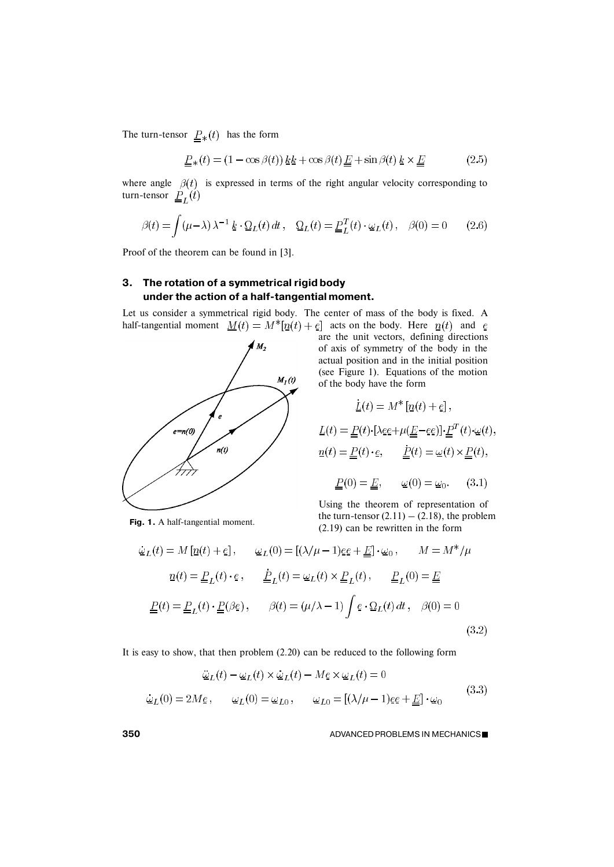The turn-tensor  $\underline{P}_*(t)$  has the form

$$
\underline{P}_{*}(t) = (1 - \cos\beta(t))\,\underline{k}\underline{k} + \cos\beta(t)\,\underline{E} + \sin\beta(t)\,\underline{k} \times \underline{E} \tag{2.5}
$$

where angle  $\beta(t)$  is expressed in terms of the right angular velocity corresponding to turn-tensor

$$
\beta(t) = \int (\mu - \lambda) \lambda^{-1} \underline{k} \cdot \underline{\Omega}_L(t) dt, \quad \underline{\Omega}_L(t) = \underline{P}_L^T(t) \cdot \underline{\omega}_L(t), \quad \beta(0) = 0 \qquad (2.6)
$$

Proof of the theorem can be found in [3].

# **3. The rotation of a symmetrical rigid body under the action of a half-tangential moment.**

Let us consider a symmetrical rigid body. The center of mass of the body is fixed. A half-tangential moment  $M(t) = M^*[\underline{n}(t) + \underline{e}]$  acts on the body. Here  $\underline{n}(t)$  and  $\underline{e}$ 



**Fig. 1.** A half-tangential moment.

are the unit vectors, defining directions of axis of symmetry of the body in the actual position and in the initial position (see Figure 1). Equations of the motion of the body have the form

$$
\underline{L}(t) = M^* [p(t) + \underline{e}],
$$
  
\n
$$
\underline{L}(t) = \underline{P}(t) \cdot [\lambda \underline{e} \underline{e} + \mu (\underline{E} - \underline{e} \underline{e})] \cdot \underline{P}^T(t) \cdot \underline{\omega}(t),
$$
  
\n
$$
p(t) = \underline{P}(t) \cdot \underline{e}, \qquad \underline{P}(t) = \underline{\omega}(t) \times \underline{P}(t),
$$
  
\n
$$
\underline{P}(0) = \underline{E}, \qquad \underline{\omega}(0) = \underline{\omega}_0. \qquad (3.1)
$$

Using the theorem of representation of the turn-tensor  $(2.11) - (2.18)$ , the problem (2.19) can be rewritten in the form

$$
\dot{\omega}_L(t) = M \left[ \underline{n}(t) + \underline{e} \right], \qquad \omega_L(0) = \left[ (\lambda/\mu - 1) \underline{e} \underline{e} + \underline{E} \right] \cdot \omega_0, \qquad M = M^* / \mu
$$
\n
$$
\underline{n}(t) = \underline{P}_L(t) \cdot \underline{e} \,, \qquad \underline{P}_L(t) = \omega_L(t) \times \underline{P}_L(t) \,, \qquad \underline{P}_L(0) = \underline{E}
$$
\n
$$
\underline{P}(t) = \underline{P}_L(t) \cdot \underline{P}(\beta \underline{e}) \,, \qquad \beta(t) = (\mu/\lambda - 1) \int \underline{e} \cdot \Omega_L(t) \, dt \,, \quad \beta(0) = 0
$$
\n(3.2)

It is easy to show, that then problem (2.20) can be reduced to the following form

$$
\begin{aligned}\n\ddot{\underline{\omega}}_L(t) - \underline{\omega}_L(t) \times \dot{\underline{\omega}}_L(t) - M \underline{e} \times \underline{\omega}_L(t) &= 0 \\
\dot{\underline{\omega}}_L(0) &= 2M \underline{e} \,, \qquad \underline{\omega}_L(0) = \underline{\omega}_{L0} \,, \qquad \underline{\omega}_{L0} = [(\lambda/\mu - 1)\underline{e}\underline{e} + \underline{\underline{E}}] \cdot \underline{\omega}_0\n\end{aligned} \tag{3.3}
$$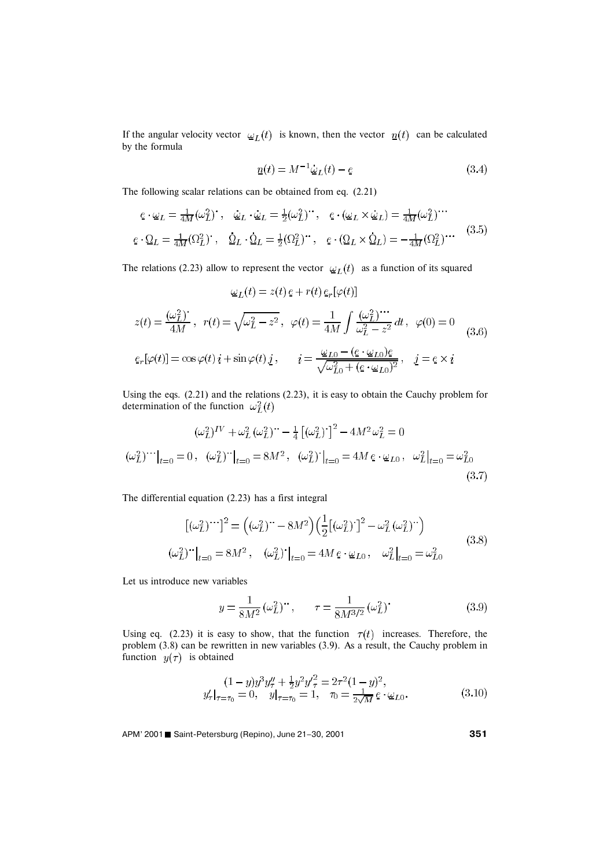If the angular velocity vector  $\omega_L(t)$  is known, then the vector  $\eta(t)$  can be calculated by the formula

$$
\underline{n}(t) = M^{-1}\dot{\underline{\omega}}_L(t) - \underline{e} \tag{3.4}
$$

The following scalar relations can be obtained from eq. (2.21)

$$
\begin{aligned}\n\mathbf{e} \cdot \mathbf{\omega}_L &= \frac{1}{4M} (\omega_L^2) \ , \quad \mathbf{\omega}_L \cdot \mathbf{\omega}_L = \frac{1}{2} (\omega_L^2) \ , \quad \mathbf{e} \cdot (\mathbf{\omega}_L \times \mathbf{\omega}_L) = \frac{1}{4M} (\omega_L^2) \ . \\
\mathbf{e} \cdot \mathbf{\Omega}_L &= \frac{1}{4M} (\Omega_L^2) \ , \quad \mathbf{\Omega}_L \cdot \mathbf{\Omega}_L = \frac{1}{2} (\Omega_L^2) \ . \end{aligned}\n\quad\n\mathbf{e} \cdot (\mathbf{\Omega}_L \times \mathbf{\Omega}_L) = -\frac{1}{4M} (\Omega_L^2) \ . \tag{3.5}
$$

The relations (2.23) allow to represent the vector  $\omega_L(t)$  as a function of its squared

$$
\omega_L(t) = z(t) e + r(t) e_r[\varphi(t)]
$$
  
\n
$$
z(t) = \frac{(\omega_L^2)^2}{4M}, \quad r(t) = \sqrt{\omega_L^2 - z^2}, \quad \varphi(t) = \frac{1}{4M} \int \frac{(\omega_L^2)^{1/2}}{\omega_L^2 - z^2} dt, \quad \varphi(0) = 0
$$
  
\n
$$
e_r[\varphi(t)] = \cos\varphi(t) i + \sin\varphi(t) j, \qquad i = \frac{\omega_{Lo} - (e \cdot \omega_{Lo})e}{\sqrt{\omega_{Lo}^2 + (e \cdot \omega_{Lo})^2}}, \quad j = e \times i
$$
 (3.6)

Using the eqs. (2.21) and the relations (2.23), it is easy to obtain the Cauchy problem for determination of the function  $\omega_L^2(t)$ 

$$
(\omega_L^2)^{IV} + \omega_L^2 (\omega_L^2)^{...} - \frac{1}{4} [(\omega_L^2)^{...}]^2 - 4M^2 \omega_L^2 = 0
$$
  

$$
(\omega_L^2)^{...}|_{t=0} = 0, \quad (\omega_L^2)^{...}|_{t=0} = 8M^2, \quad (\omega_L^2)^{...}|_{t=0} = 4M e \cdot \omega_{L0}, \quad \omega_L^2|_{t=0} = \omega_{L0}^2
$$
  
(3.7)

The differential equation (2.23) has a first integral

$$
\begin{aligned}\n\left[ (\omega_L^2)^{\cdots} \right]^2 &= \left( (\omega_L^2)^{\cdots} - 8M^2 \right) \left( \frac{1}{2} \left[ (\omega_L^2)^{\cdots} \right]^2 - \omega_L^2 (\omega_L^2)^{\cdots} \right) \\
(\omega_L^2)^{\cdots} \Big|_{t=0} &= 8M^2 \,, \quad (\omega_L^2)^{\cdots} \Big|_{t=0} = 4M \, e \cdot \omega_{L0} \,, \quad \omega_L^2 \Big|_{t=0} = \omega_{L0}^2\n\end{aligned} \tag{3.8}
$$

Let us introduce new variables

$$
y = \frac{1}{8M^2} (\omega_L^2)^{\cdots}, \qquad \tau = \frac{1}{8M^{3/2}} (\omega_L^2)^{\cdots}
$$
 (3.9)

Using eq. (2.23) it is easy to show, that the function  $\tau(t)$  increases. Therefore, the problem (3.8) can be rewritten in new variables (3.9). As a result, the Cauchy problem in function  $y(\tau)$  is obtained

$$
(1-y)y^{3}y_{\tau}^{\prime} + \frac{1}{2}y^{2}y_{\tau}^{\prime 2} = 2\tau^{2}(1-y)^{2},
$$
  
\n
$$
y_{\tau}^{\prime}|_{\tau=\tau_{0}} = 0, \quad y|_{\tau=\tau_{0}} = 1, \quad \tau_{0} = \frac{1}{2\sqrt{M}}e \cdot \omega_{L0}.
$$
\n(3.10)

APM' 2001 ■ Saint-Petersburg (Repino), June 21-30, 2001 **351**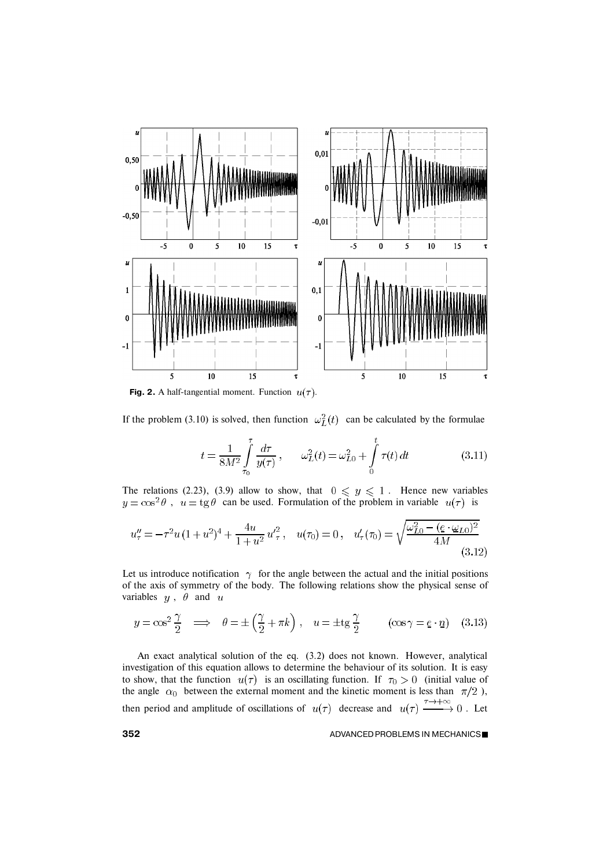

**Fig. 2.** A half-tangential moment. Function  $u(\tau)$ .

If the problem (3.10) is solved, then function  $\omega_L^2(t)$  can be calculated by the formulae

$$
t = \frac{1}{8M^2} \int_{\tau_0}^{\tau} \frac{d\tau}{y(\tau)}, \qquad \omega_L^2(t) = \omega_{L0}^2 + \int_{0}^{t} \tau(t) dt \qquad (3.11)
$$

The relations (2.23), (3.9) allow to show, that  $0 \leq y \leq 1$ . Hence new variables ,  $u = \text{tg }\theta$  can be used. Formulation of the problem in variable  $u(\tau)$  is

$$
u''_{\tau} = -\tau^2 u (1 + u^2)^4 + \frac{4u}{1 + u^2} u'^2_{\tau}, \quad u(\tau_0) = 0, \quad u'_{\tau}(\tau_0) = \sqrt{\frac{\omega_{L0}^2 - (\underline{e} \cdot \underline{\omega}_{L0})^2}{4M}} \tag{3.12}
$$

Let us introduce notification  $\gamma$  for the angle between the actual and the initial positions of the axis of symmetry of the body. The following relations show the physical sense of variables  $y$ ,  $\dot{\theta}$  and  $u$ 

$$
y = \cos^2 \frac{\gamma}{2} \implies \theta = \pm \left(\frac{\gamma}{2} + \pi k\right), \quad u = \pm \text{tg}\frac{\gamma}{2} \qquad (\cos \gamma = e \cdot \underline{n}) \quad (3.13)
$$

An exact analytical solution of the eq. (3.2) does not known. However, analytical investigation of this equation allows to determine the behaviour of its solution. It is easy to show, that the function  $u(\tau)$  is an oscillating function. If  $\tau_0 > 0$  (initial value of the angle  $\alpha_0$  between the external moment and the kinetic moment is less than  $\pi/2$ ), then period and amplitude of oscillations of  $u(\tau)$  decrease and  $u(\tau) \xrightarrow{\tau \to +\infty} 0$ . Let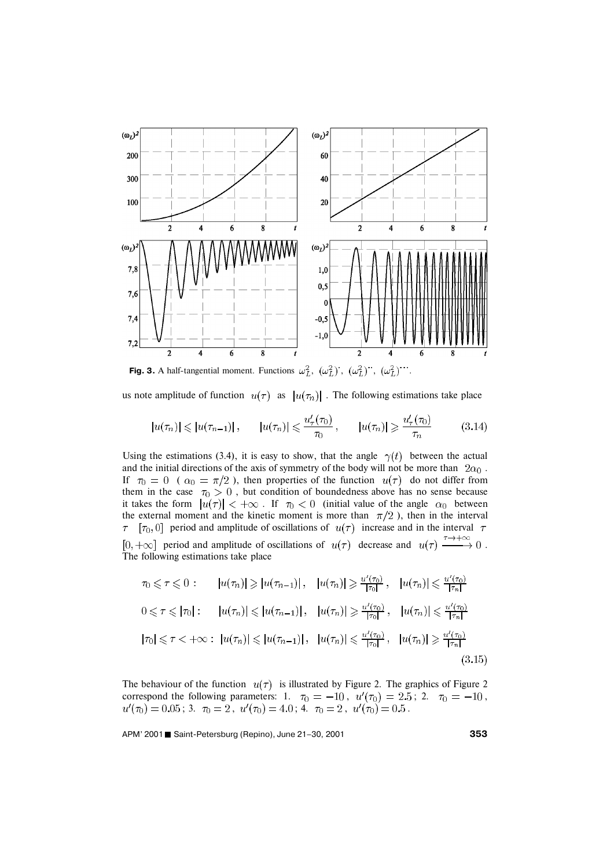

**Fig. 3.** A half-tangential moment. Functions  $\omega_L^2$ ,  $(\omega_L^2)$ ,  $(\omega_L^2)$ ,  $(\omega_L^2)$ ,  $(\omega_L^2)$ 

us note amplitude of function  $u(\tau)$  as  $|u(\tau_n)|$ . The following estimations take place

$$
|u(\tau_n)| \leqslant |u(\tau_{n-1})|, \qquad |u(\tau_n)| \leqslant \frac{u_\tau'(\tau_0)}{\tau_0}, \qquad |u(\tau_n)| \geqslant \frac{u_\tau'(\tau_0)}{\tau_n} \tag{3.14}
$$

Using the estimations (3.4), it is easy to show, that the angle  $\gamma(t)$  between the actual and the initial directions of the axis of symmetry of the body will not be more than  $2\alpha_0$ . If  $\tau_0 = 0$  (  $\alpha_0 = \pi/2$  ), then properties of the function  $u(\tau)$  do not differ from them in the case  $\tau_0 > 0$ , but condition of boundedness above has no sense because it takes the form  $|u(\tau)| < +\infty$ . If  $\tau_0 < 0$  (initial value of the angle  $\alpha_0$  between the external moment and the kinetic moment is more than  $\pi/2$ ), then in the interval  $[\tau_0, 0]$  period and amplitude of oscillations of  $u(\tau)$  increase and in the interval  $\tau$  $\tau^ [0, +\infty]$  period and amplitude of oscillations of  $u(\tau)$  decrease and  $u(\tau) \xrightarrow{\tau \to +\infty} 0$ . The following estimations take place

$$
\tau_0 \leq \tau \leq 0: \qquad |u(\tau_n)| \geq |u(\tau_{n-1})|, \quad |u(\tau_n)| \geq \frac{u'(\tau_0)}{|\tau_0|}, \quad |u(\tau_n)| \leq \frac{u'(\tau_0)}{|\tau_n|}
$$
\n
$$
0 \leq \tau \leq |\tau_0|: \qquad |u(\tau_n)| \leq |u(\tau_{n-1})|, \quad |u(\tau_n)| \geq \frac{u'(\tau_0)}{|\tau_0|}, \quad |u(\tau_n)| \leq \frac{u'(\tau_0)}{|\tau_n|}
$$
\n
$$
|\tau_0| \leq \tau < +\infty: \ |u(\tau_n)| \leq |u(\tau_{n-1})|, \quad |u(\tau_n)| \leq \frac{u'(\tau_0)}{|\tau_0|}, \quad |u(\tau_n)| \geq \frac{u'(\tau_0)}{|\tau_n|}
$$
\n
$$
(3.15)
$$

The behaviour of the function  $u(\tau)$  is illustrated by Figure 2. The graphics of Figure 2. correspond the following parameters: 1.  $\tau_0 = -10$ ,  $u'(\tau_0) = 2.5$ ; 2.  $\tau_0 = -10$ , ; 3.  $\tau_0 = 2$ ,  $u'(\tau_0) = 4.0$ ; 4.  $\tau_0 = 2$ ,  $u'(\tau_0) = 0.5$ .

APM' 2001 Saint-Petersburg (Repino), June 21–30, 2001 **<sup>353</sup>**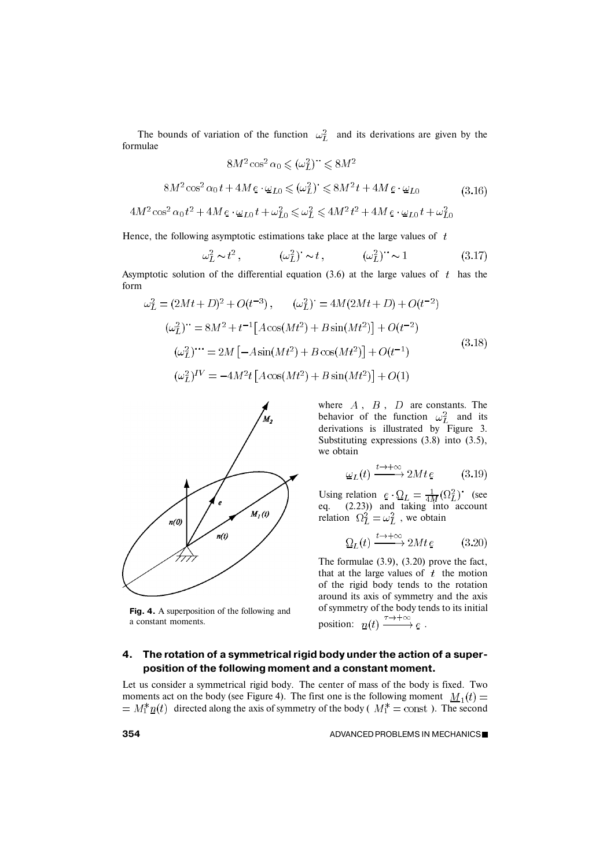The bounds of variation of the function  $\omega_L^2$  and its derivations are given by the formulae

$$
8M^2\cos^2\alpha_0 \leqslant (\omega_L^2)^{\cdots} \leqslant 8M^2
$$

$$
8M^2 \cos^2 \alpha_0 t + 4M \, \mathbf{e} \cdot \mathbf{\omega}_{L0} \leqslant (\mathbf{\omega}_L^2) \leq 8M^2 t + 4M \, \mathbf{e} \cdot \mathbf{\omega}_{L0} \tag{3.16}
$$

$$
4M^2 \cos^2 \alpha_0 t^2 + 4M e \cdot \omega_{L0} t + \omega_{L0}^2 \leq \omega_L^2 \leq 4M^2 t^2 + 4M e \cdot \omega_{L0} t + \omega_{L0}^2
$$

Hence, the following asymptotic estimations take place at the large values of  $t$ 

$$
\omega_L^2 \sim t^2, \qquad (\omega_L^2)^{\cdot} \sim t, \qquad (\omega_L^2)^{\cdot} \sim 1 \qquad (3.17)
$$

Asymptotic solution of the differential equation (3.6) at the large values of  $t$  has the form

$$
\omega_L^2 = (2Mt + D)^2 + O(t^{-3}), \qquad (\omega_L^2)^* = 4M(2Mt + D) + O(t^{-2})
$$
  

$$
(\omega_L^2)^* = 8M^2 + t^{-1}[A\cos(Mt^2) + B\sin(Mt^2)] + O(t^{-2})
$$
  

$$
(\omega_L^2)^{**} = 2M[-A\sin(Mt^2) + B\cos(Mt^2)] + O(t^{-1})
$$
  

$$
(\omega_L^2)^{IV} = -4M^2t[A\cos(Mt^2) + B\sin(Mt^2)] + O(1)
$$
  
(3.18)



**Fig. 4.** A superposition of the following and a constant moments.

where  $A$ ,  $B$ ,  $D$  are constants. The behavior of the function  $\omega_L^2$  and its derivations is illustrated by Figure 3. Substituting expressions (3.8) into (3.5), we obtain

$$
\underline{\omega}_L(t) \xrightarrow{t \to +\infty} 2Mt \underline{e} \tag{3.19}
$$

Using relation  $e \cdot \Omega_L = \frac{1}{4M} (\Omega_L^2)$  (see eq. (2.23)) and taking into account relation  $\Omega_L^2 = \omega_L^2$ , we obtain

$$
\underline{\Omega}_L(t) \xrightarrow{t \to +\infty} 2Mt \underline{e} \tag{3.20}
$$

The formulae (3.9), (3.20) prove the fact, that at the large values of  $t$  the motion of the rigid body tends to the rotation around its axis of symmetry and the axis of symmetry of the body tends to its initial position:  $\underline{n}(t) \xrightarrow{\tau \to +\infty} \underline{e}$ .

## **4. The rotation of a symmetrical rigid body under the action of a superposition of the following moment and a constant moment.**

Let us consider a symmetrical rigid body. The center of mass of the body is fixed. Two moments act on the body (see Figure 4). The first one is the following moment  $M_1(t)$  =  $d = M_1^* \underline{n}(t)$  directed along the axis of symmetry of the body ( $M_1^* = \text{const}$ ). The second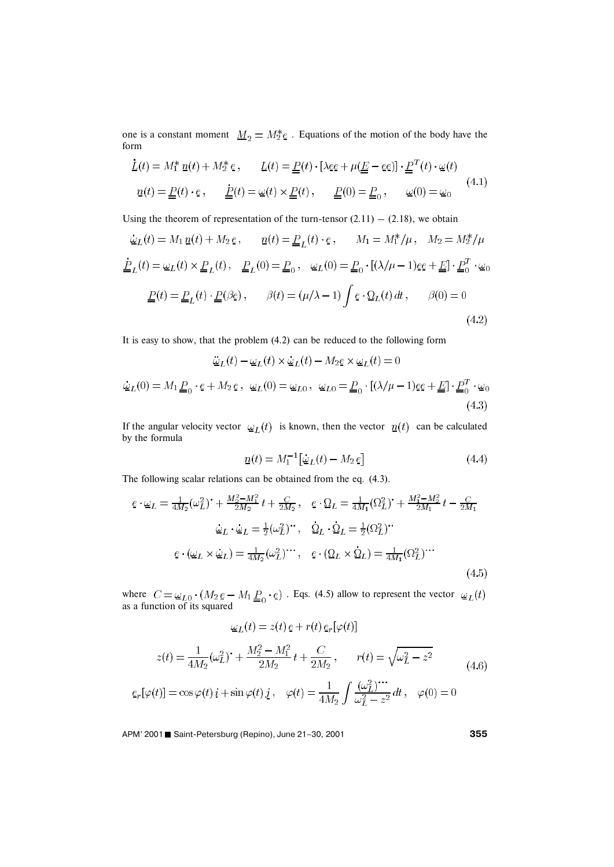one is a constant moment  $\underline{M}_2 = M_2^* \underline{e}$ . Equations of the motion of the body have the form

$$
\underline{L}(t) = M_1^* \underline{n}(t) + M_2^* \underline{e}, \qquad \underline{L}(t) = \underline{P}(t) \cdot [\lambda \underline{e} \underline{e} + \mu (\underline{E} - \underline{e} \underline{e})] \cdot \underline{P}^T(t) \cdot \underline{\omega}(t)
$$
\n
$$
\underline{n}(t) = \underline{P}(t) \cdot \underline{e}, \qquad \underline{P}(t) = \underline{\omega}(t) \times \underline{P}(t), \qquad \underline{P}(0) = \underline{P}_0, \qquad \underline{\omega}(0) = \underline{\omega}_0 \tag{4.1}
$$

Using the theorem of representation of the turn-tensor  $(2.11) - (2.18)$ , we obtain

$$
\dot{\omega}_L(t) = M_1 \underline{n}(t) + M_2 \underline{e}, \qquad \underline{n}(t) = \underline{P}_L(t) \cdot \underline{e}, \qquad M_1 = M_1^* / \mu, \quad M_2 = M_2^* / \mu
$$

$$
\underline{\dot{P}}_L(t) = \omega_L(t) \times \underline{P}_L(t), \quad \underline{P}_L(0) = \underline{P}_0, \quad \omega_L(0) = \underline{P}_0 \cdot [(\lambda/\mu - 1)\underline{e}e + \underline{E}] \cdot \underline{P}_0^T \cdot \omega_0
$$

$$
\underline{P}(t) = \underline{P}_L(t) \cdot \underline{P}(\beta \underline{e}), \qquad \beta(t) = (\mu/\lambda - 1) \int \underline{e} \cdot \underline{\Omega}_L(t) dt, \qquad \beta(0) = 0
$$
(4.2)

It is easy to show, that the problem (4.2) can be reduced to the following form

$$
\ddot{\underline{\omega}}_L(t) - \underline{\omega}_L(t) \times \dot{\underline{\omega}}_L(t) - M_2 e \times \underline{\omega}_L(t) = 0
$$
  

$$
\dot{\underline{\omega}}_L(0) = M_1 \underline{P}_0 \cdot e + M_2 e, \quad \underline{\omega}_L(0) = \underline{\omega}_{L0}, \quad \underline{\omega}_{L0} = \underline{P}_0 \cdot [(\lambda/\mu - 1)e\underline{e} + \underline{E}] \cdot \underline{P}_0^T \cdot \underline{\omega}_0
$$
\n(4.3)

If the angular velocity vector  $\omega_L(t)$  is known, then the vector  $\eta(t)$  can be calculated by the formula

$$
\underline{n}(t) = M_1^{-1} \left[ \dot{\underline{\omega}}_L(t) - M_2 \underline{e} \right] \tag{4.4}
$$

The following scalar relations can be obtained from the eq. (4.3).

$$
\underline{e} \cdot \underline{\omega}_L = \frac{1}{4M_2} (\omega_L^2)^* + \frac{M_2^2 - M_1^2}{2M_2} t + \frac{C}{2M_2}, \quad \underline{e} \cdot \underline{\Omega}_L = \frac{1}{4M_1} (\Omega_L^2)^* + \frac{M_1^2 - M_2^2}{2M_1} t - \frac{C}{2M_1}
$$
\n
$$
\underline{\omega}_L \cdot \underline{\omega}_L = \frac{1}{2} (\omega_L^2)^*, \quad \underline{\Omega}_L \cdot \underline{\Omega}_L = \frac{1}{2} (\Omega_L^2)^*
$$
\n
$$
\underline{e} \cdot (\underline{\omega}_L \times \underline{\omega}_L) = \frac{1}{4M_2} (\omega_L^2)^{...}, \quad \underline{e} \cdot (\underline{\Omega}_L \times \underline{\Omega}_L) = \frac{1}{4M_1} (\Omega_L^2)^{...}
$$
\n(4.5)

where  $C = \underline{\omega}_{L0} \cdot (M_2 e - M_1 \underline{P}_0 \cdot e)$ . Eqs. (4.5) allow to represent the vector as a function of its squared

$$
\underline{\omega}_L(t) = z(t) e + r(t) e_r[\varphi(t)]
$$

$$
z(t) = \frac{1}{4M_2}(\omega_L^2)^2 + \frac{M_2^2 - M_1^2}{2M_2}t + \frac{C}{2M_2}, \qquad r(t) = \sqrt{\omega_L^2 - z^2}
$$
(4.6)

$$
e_r[\varphi(t)] = \cos\varphi(t)\,i + \sin\varphi(t)\,\underline{j}\,,\quad \varphi(t) = \frac{1}{4M_2}\int \frac{(\omega_L^2)^{\dots}}{\omega_L^2 - z^2}\,dt\,,\quad \varphi(0) = 0
$$

APM' 2001 ■ Saint-Petersburg (Repino), June 21-30, 2001 **355**